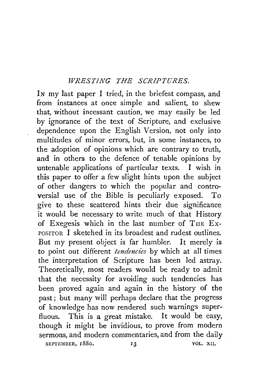## *WRESTING THE SCRIPTURES.*

IN my last paper I tried, in the briefest compass, and from instances at once simple and salient, to shew that, without incessant caution, we may easily be led by ignorance of the text of Scripture, and exclusive dependence upon the English Version, not only into multitudes of minor errors, but, in some instances, to the adoption of opinions which are contrary to truth, and in others to the defence of tenable opinions by untenable applications of particular texts. I wish in this paper to offer a few slight hints upon the subject of other dangers to which the popular and controversial use of the Bible is peculiarly exposed. To give to these scattered hints their due significance it would be necessary to write much of that History of Exegesis which in the last number of THE Ex-POSITOR I sketched in its broadest and rudest outlines. But my present object is far humbler. It merely is to point out different *tendencies* by which at all times the interpretation of Scripture has been led astray. Theoretically, most readers would be ready to admit that the necessity for avoiding such tendencies has been proved again and again in the history of the past; but many will perhaps declare that the progress of knowledge has now rendered such warnings superfluous. This is a great mistake. It would be easy, though it might be invidious, to prove from modern sermons, and modern commentaries, and from the daily SEPTEMBER, 1880. 13 VOL. XII.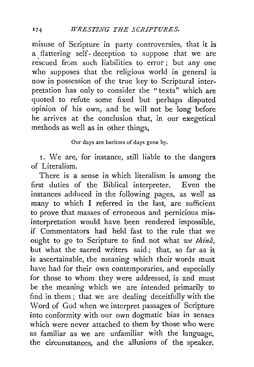misuse of Scripture in party controversies, that it *is*  a flattering self- deception to suppose that we are rescued from such liabilities to error; but any one who supposes that the religious world in general is now in possession of the true key to Scriptural interpretation has only to consider the "texts" which are quoted to refute some fixed but perhaps disputed opinion of his own, and he will not be long before he arrives at the conclusion that, in our exegetical methods as well as in other things,

## Our days are heritors of days gone by.

r. We are, for instance, still liable to the dangers of Literalism.

There is a sense in which literalism is among the first duties of the Biblical interpreter. Even the instances adduced in the following pages, as well as many to which I referred in the last, are sufficient to prove that masses of erroneous and pernicious misinterpretation would have. been rendered impossible, if Commentators had held fast to the rule that we ought to go to Scripture to find not what *we think,*  but what the sacred writers said ; that, so far as it is ascertainable, the meaning which their words must have had for their own contemporaries, and especially for those to whom they were addressed, is and must be the meaning which we are intended primarily to find in them ; that we are dealing deceitfully with the Word of God when we interpret passages of Scripture into conformity with our own dogmatic bias in senses which were never attached to them by those who were as familiar as we are unfamiliar with the language, the circumstances, and the allusions of the speaker.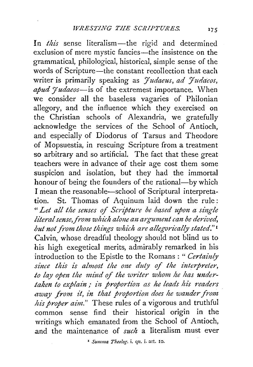In *this* sense literalism-the rigid and determined exclusion of mere mystic fancies—the insistence on the grammatical, philological, historical, simple sense of the words of Scripture-the constant recollection that each writer is primarily speaking as *Judaeus*, ad Judaeos, *apud yudaeos-is* of the extremest importance. When we consider all the baseless vagaries of Philonian allegory, and the influence which they exercised on the Christian schools of Alexandria, we gratefully acknowledge the services of the School of Antioch, and especially of Diodorus of Tarsus and Theodore of Mopsuestia, in rescuing Scripture from a treatment so arbitrary and so artificial. The fact that these great teachers were in advance of their age cost them some suspicion and isolation, but they had the immortal honour of being the founders of the rational-by which I mean the reasonable-school of Scriptural interpretation. St. Thomas of Aquinum laid down the rule : <sup>H</sup>*Let all the senses of Scripture be based upon a single literal sense, from which alone an argument can be derived,* but not from those things which are allegorically stated."<sup>1</sup> Calvin, whose dreadful theology should not blind us to his high exegetical merits, admirably remarked in his introduction to the Epistle to the Romans : " *Certainly* since this is almost the one duty of the interpreter, to lay open the mind of the writer whom he has under*taken to explain* ; *in proportiim as he leads hi's naders*  away from it, in that proportion does he wander from *his proper aim."* These rules of a vigorous and truthful common sense find their historical origin in the writings which emanated from the School of Antioch, .and the maintenance of *such* a literalism must ever

' *Summa Theolog.* i. qu. i. art. IO.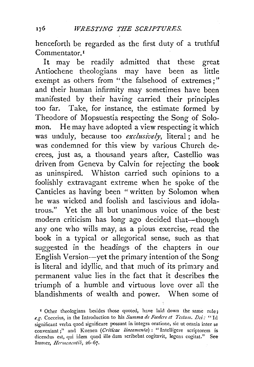henceforth be regarded as the first duty of a truthful Commentator<sup>1</sup>

It may be readily admitted that these great Antiochene theologians may have been as little exempt as others from "the falsehood of extremes:" and their human infirmity may sometimes have been manifested by their having carried their principles too far. Take, for instance, the estimate formed by Theodore of Mopsuestia respecting the Song of Solomon. He may have adopted a view respecting it which was unduly, because too *exclusively,* literal ; and he was condemned for this view by various Church decrees, just as, a thousand years after, Castellio was driven from Geneva by Calvin for rejecting the book as uninspired. Whiston carried such opinions to a foolishly extravagant extreme when he spoke of the Canticles as having been " written by Solomon when he was wicked and foolish and lascivious and idolatrous." Yet the all but unanimous voice of the best modern criticism has long ago decided that-though any one who wills may, as a pious exercise, read the book in a typical or allegorical sense, such as that suggested in the headings of the chapters in our English Version-yet the primary intention of the Song is literal and idyllic, and that much of its primary and permanent value lies in the fact that it describes the . triumph of a humble and virtuous love over all the blandishments of wealth and power. When some of

176

<sup>&</sup>lt;sup>*I*</sup> Other theologians besides those quoted, have laid down the same rule: *e.g.* Cocceius, in the Introduction to his *Summa de Focdere et Testa m. Dei:* "Id significant verba quod significare possunt in integra oratione, sic ut omnia inter se conveniant ;" and Kuenen (Criticae lineamenta) : "Intelligere scriptorem is dicendus est, qui idem quod ille dum scribebat cogitavit, legens cogitat." See Immer, *Hermcneutik*, 26-67.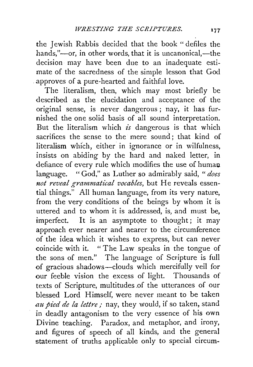the Jewish Rabbis decided that the book " defiles the hands,"-or, in other words, that it is uncanonical,-the decision may have been due to an inadequate estimate of the sacredness of the simple lesson that God . approves of a pure-hearted and faithful love.

The literalism, then, which may most briefly be described as the elucidation and acceptance of the original sense, is never dangerous; nay, it has furnished the one solid basis of all sound interpretation. But the literalism which *is* dangerous is that which sacrifices the sense to the mere sound; that kind of literalism which, either in ignorance or in wilfulness, insists on abiding by the hard and naked letter, in defiance of every rule which modifies the use of human language. "God," as Luther so admirably said, *"does not reveal grammatical vocables,* but He reveals essential things." All human language, from its very nature, from the very conditions of the beings by whom it is uttered and to whom it is addressed, is, and must be, imperfect. It is an asymptote to thought; it may approach ever nearer and nearer to the circumference of the idea which it wishes to express, but can never coincide with it. "The Law speaks in the tongue of the sons of men." The language of Scripture is full of gracious shadows-clouds which mercifully veil for our feeble vision the excess of light. Thousands of texts of Scripture, multitudes .of the utterances of our blessed Lord Himself, were never meant to be taken au pied de la lettre; nay, they would, if so taken, stand in deadly antagonism to the very essence of his own Divine teaching. Paradox, and metaphor, and irony, and figures of speech of all kinds, and the general statement of truths applicable only to special circum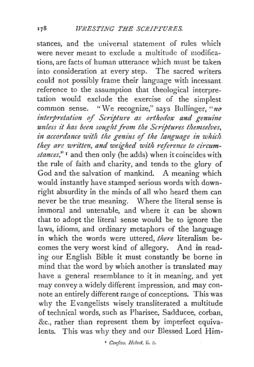stances, and the universal statement of rules which were never meant to exclude a multitude of modifications, are facts of human utterance which must be taken into consideration at every step. The sacred writers could not possibly frame their language with incessant. reference to the assumption that theological interpretation would exclude the exercise of the simplest common sense. "We recognize," says Bullinger, " $no$ interpretation of Scripture as orthodox and genuine unless it has been sought from the Scriptures themselves, in accordance with the genius of the language in which *they are written, and weighed with reference to circumstances,"* 1 and then only (he adds) when it coincides with the rule of faith and charity, and tends to the glory of God and the salvation of mankind. A meaning which would instantly have stamped ·serious words with downright absurdity in the minds of all who heard them can never be the true meaning. Where the literal sense is immoral and untenable, and where it can be shown that to adopt the literal sense would be to ignore the laws, idioms, and ordinary metaphors of the language in which the words were uttered, *there* literalism becomes the very worst kind of allegory. And in reading our English Bible it must constantly be borne in mind that the word by which another is translated may have a general resemblance to it in meaning, and yet may convey a widely different impression, and may connote an entirely different range of conceptions. This was why the Evangelists wisely transliterated a multitude of technical words, such as Pharisee, Sadducee, corban, &c., rather than represent them by imperfect equivalents. This was why they and our Blessed Lord Him-

<sup>1</sup> Confess. Helvet, ii. 2.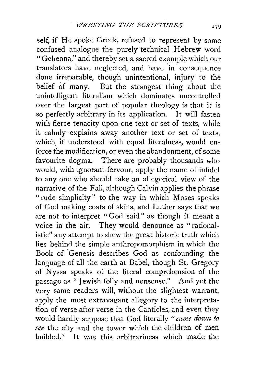self, if He spoke Greek, refused to represent by some confused analogue the purely technical Hebrew word "Gehenna," and thereby set a sacred example which our translators have neglected, and have in consequence done irreparable, though unintentional, injury to the belief of many. But the strangest thing about the unintelligent literalism which dominates uncontrolled over the largest part of popular theology is that it is so perfectly arbitrary in its application. It will fasten with fierce tenacity upon one text or set of texts, while it calmly explains away another text or set of texts, which, if understood with equal literalness, would enforce the modification, or even the abandonment, of some favourite dogma. There are probably thousands who would, with ignorant fervour, apply the name of infidel to any one who should take an allegorical view of the narrative of the Fall, although Calvin applies the phrase "rude simplicity" to the way in which Moses speaks of God making coats of skins, and Luther says that we are not to interpret "God said" as though it meant a voice in the air. They would denounce as "rationalistic" any attempt to shew the great historic truth which lies behind the simple anthropomorphism in which the Book of Genesis describes God as confounding the language of all the earth at Babel, though St. Gregory of N yssa speaks of the literal comprehension of the passage as " Jewish folly and nonsense." And yet the very same readers will, without the slightest warrant, apply the most extravagant allegory to the interpretation of verse after verse in the Canticles, and even they would hardly suppose that God literally "came down to *see* the city and the tower which the children of men builded." It was this arbitrariness which made the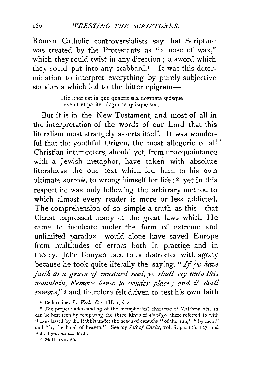Roman Catholic controversialists say that Scripture was treated by the Protestants as "a nose of wax," which they could twist in any direction ; a sword which they could put into any scabbard.<sup> $I$ </sup> It was this determination to interpret everything by purely subjective standards which led to the bitter epigram-

> Hie liber est in quo quaerit sua dogmata quisque Invenit et pariter dogmata quisque sua.

But it is in the New Testament, and most of all in the interpretation of the words of our Lord that this literalism most strangely asserts itself. It was wonderful that the youthful Origen, the most allegoric of all ' Christian interpreters, should yet, from unacquaintance with a Jewish metaphor, have taken with absolute literalness the one text which led him, to his own ultimate sorrow, to wrong himself for life;  $2$  yet in this respect he was only following the arbitrary method to which almost every reader is more or less addicted. The comprehension of so simple a truth as this-that Christ expressed many of the great laws which He came to inculcate under the form of extreme and unlimited paradox-would alone have saved Europe from multitudes of errors both in practice and in theory. John Bunyan used to be distracted with agony because he took quite literally the saying, *"If ye have faith as a grain of mustard seed, ye shall say unto this mountain, Remove hence to yonder place*; and it shall *nmove,"* 3 and therefore felt driven to test his own faith

<sup>&#</sup>x27; Bellarmine, *De Verbo Dei,* III. I, § 2.

<sup>&</sup>lt;sup>2</sup> The proper understanding of the metaphorical character of Matthew xix. 12 can be best seen by comparing the three kinds of *εὐνοῖχοι* there referred to with those classed by the Rabbis under the heads of eunuchs "of the sun," "by men," and "by the hand of heaven." See my *Life of Christ*, vol. ii. pp. 156, 157, and Schottgen, *ad loc.* Matt.

<sup>3</sup> Matt. xvii. 20.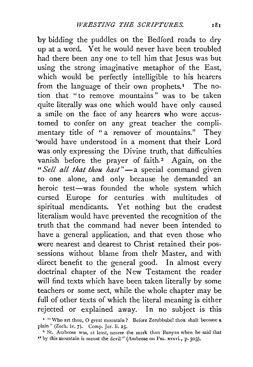by bidding the puddles on the Bedford roads to dry up at a word. Yet he would never have been troubled had there been any one to tell him that Jesus was but using the strong imaginative metaphor of the East, which would be perfectly intelligible to his hearers from the language of their own prophets.<sup> $I$ </sup> The notion that "to remove mountains" was to be taken quite literally was one which would have only caused a smile on the face of any hearers who were accustomed to confer on any great teacher the complimentary title of "a remover of mountains." They 'would have understood in a moment that their Lord was only expressing the Divine truth, that difficulties vanish before the prayer of faith.<sup>2</sup> Again, on the *"Sell all that thou hast* ''-a special command given to one alone, and only because he demanded an heroic test-was founded the whole system which cursed Europe for centuries with multitudes of spiritual mendicants. Yet nothing but the crudest literalism would have prevented the recognition of the truth that the command had never been intended to have a general application, and that even those who were nearest and dearest to Christ retained their possessions without blame from their Master, and with direct benefit to the general good. In almost every doctrinal chapter of the New Testament the reader will find texts which have been taken literally by some teachers or some sect, while the whole chapter may be full of other texts of which the literal meaning is either rejected or explained away. In no subject is this

<sup>&</sup>lt;sup>1</sup> "Who art thou, O great mountain? Before Zerubbabel thou shalt become a plain" (Zech. iv. 7). Comp. Jer. li. 25.

<sup>&</sup>lt;sup>2</sup> St. Ambrose was, at least, nearer the mark than Bunyan when he said that " by this mountain is meant the devil" (Ambrose on Psa. xxxvi., p.  $503$ ).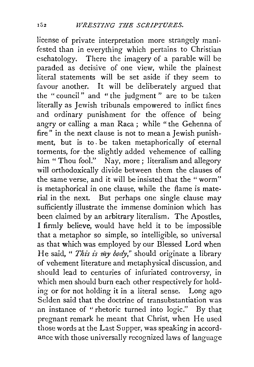license of private interpretation more strangely manifested than in everything which pertains to Christian eschatology. There the imagery of a parable will be paraded as decisive of one view, while the plainest literal statements will be set aside if they seem to favour another. It will be deliberately argued that the " council" and " the judgment " are to be taken literally as Jewish tribunals empowered to inflict fines and ordinary punishment for the offence of being angry or calling a man Raca ; while "the Gehenna of fire" in the next clause is not to mean a Jewish punishment, but is to. be taken metaphorically of eternal torments, for the slightly added vehemence of calling him " Thou fool." Nay, more ; literalism and allegory will orthodoxically divide between them the clauses of the same verse, and it will be insisted that the "worm" is metaphorical in one clause, while the flame is material in the next. But perhaps one single clause may sufficiently illustrate the immense dominion which has been claimed by an arbitrary literalism. The Apostles, I firmly believe, would have held it to be impossible that a metaphor so simple, so intelligible, so universal as that which was employed by our Blessed Lord when He said, " *This is my body*," should originate a library of vehement literature and metaphysical discussion, and should lead to centuries of infuriated controversy, in which men should burn each other respectively for holding or for not holding it in a literal sense. Long ago Selden said that the doctrine of transubstantiation was an instance of " rhetoric turned into logic." By that pregnant remark he meant that Christ, when He used those words at the Last Supper, was speaking in accordance with those universally recognized laws of language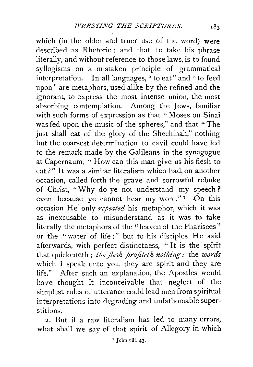which (in the older and truer use of the word) were described as Rhetoric ; and that, to take his phrase literally, and without reference to those laws, is to found syllogisms on a mistaken principle of grammatical interpretation. In all languages," to eat" and" to feed upon" are metaphors, used alike by the refined and the ignorant, to express the most intense union, the most absorbing contemplation. Among the Jews, familiar with such forms of expression as that "Moses on Sinai was fed upon the music of the spheres," and that "The just shall eat of the glory of the Shechinah," nothing but the coarsest determination to cavil could have led to the remark made by the Galileans in the synagogue at Capernaum, " How can this man give us his flesh to eat?" It was a similar literalism which had, on another occasion, called forth the grave and sorrowful rebuke of Christ, "Why do ye not understand my speech ? even because ye cannot hear my word." $I$  On this occasion He only *1'ejeated* his metaphor, which it was as inexcusable to misunderstand as it was to take literally the metaphors of the "leaven of the Pharisees" or the "water of life;" but to. his disciples He said afterwards, with perfect distinctness, " It is the spirit that quickeneth; *the flesh profiteth nothing*: the *words* which I speak unto you, they are spirit and they are life." After such an explanation, the Apostles would have thought it inconceivable that neglect of the simplest rules of utterance could lead men from spiritual interpretations into degrading and unfathomable superstitions.

*2.* But if a raw literalism has led to many errors, what shall we say of that spirit of Allegory in which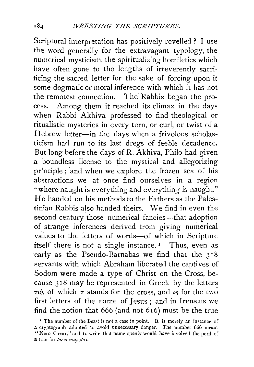Scriptural interpretation has positively revelled ? I use the word generally for the extravagant typology, the numerical mysticism, the spiritualizing homiletics which have often gone to the lengths of irreverently sacrificing the sacred letter for the sake of forcing upon it some dogmatic or moral inference with which it has not the remotest connection. The Rabbis began the process. Among them it reached its climax in the days when Rabbi Akhiva professed to find theological or ritualistic mysteries in every turn, or curl, or twist of a Hebrew letter-in the days when a frivolous scholasticism had run to its last dregs of feeble decadence. But long before the days of R. Akhiva, Philo had given a boundless license to the mystical and allegorizing principle; 'and when we explore the frozen sea of his abstractions we at once find ourselves in a region "where naught is everything and everything is naught." He handed on his methods to the Fathers as the Palestinian Rabbis also handed theirs. \Ne find in even the second century those numerical fancies—that adoption of strange inferences derived from giving numerical values to the letters of words-of which in Scripture itself there is not a single instance.<sup>1</sup> Thus, even as early as the Pseudo-Barnabas we find that the 318 servants with which Abraham liberated the captives of Sodom were made a type of Christ on the Cross, because 318 may be represented in Greek by the letters  $\tau \dot{\psi}$ , of which  $\tau$  stands for the cross, and  $\dot{\psi}$  for the two first letters of the name of Jesus; and in Irenæus we find the notion that  $666$  (and not  $616$ ) must be the true

<sup>&#</sup>x27; The number of the Beast is not a case in point. It is merely an instance of a cryptograph adopted to avoid unnecessary danger. The number 666 meant "Nero Cæsar," and to write that name openly would have involved the peril of a trial for *lacsa ma<sub>lestas*.</sub>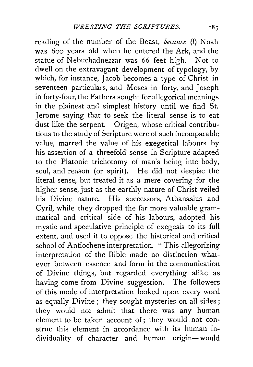reading of the number of the Beast, *because* (!) Noah was 6oo years old when he entered the Ark, and the statue of Nebuchadnezzar was 66 feet high. Not to dwell on the extravagant development of typology, by which, for instance, Jacob becomes a type of Christ in seventeen particulars, and Moses in forty, and Joseph in forty-four, the Fathers sought for allegorical meanings in the plainest and simplest history until we find St. Jerome saying that to seek the literal sense is to eat dust like the serpent. Origen, whose critical contributions to the study of Scripture were of such incomparable value, marred the value of his exegetical labours by his assertion of a threefold sense in Scripture adapted to the Platonic trichotomy of man's being into body, soul, and reason (or spirit). He did not despise the literal sense, but treated it as a mere covering for the higher sense, just as the earthly nature of Christ veiled his Divine nature. His successors, Athanasius and Cyril, while they dropped the far more valuable grammatical and critical side of his labours, adopted his mystic and speculative principle of exegesis to its full extent, and used it to oppose the historical and critical school of Antiochene interpretation. " This allegorizing interpretation of the Bible made no distinction whatever between essence and form in the communication of Divine things, but regarded everything alike as having come from Divine suggestion. The followers of this mode of interpretation looked upon every word as equally Divine ; they sought mysteries on all sides ; they would not admit that there was any human element to be taken account of; they would not construe this element in accordance with its human individuality of character and human origin-would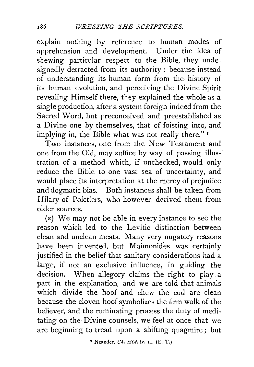explain nothing by reference to human modes of apprehension and development. Under the idea of shewing particular respect to the Bible, they undesignedly detracted from its authority; because instead of understanding its human form from the. history of its human evolution, and perceiving the Divine Spirit revealing Himself there, they explained the whole as a single production, after a system foreign indeed from the Sacred Word, but preconceived and preestablished as a Divine one by themselves, that of foisting into, and implying in, the Bible what was not really there." 1

Two instances, one from the New Testament and one from the Old, may suffice by way of passing illustration of a method which, if unchecked, would only reduce the Bible to one vast sea of uncertainty, and would place its interpretation at the mercy of prejudice and dogmatic bias. Both instances shall be taken from Hilary of Poictiers, who however, derived them from older sources.

(a) We may not be able in every instance to see the reason which led to the Levitic distinction between clean and unclean meats. Many very nugatory reasons have been invented, but Maimonides was certainly justified in the belief that sanitary considerations had a large, if not an exclusive influence, in guiding the decision. When allegory claims the right to play a part in the explanation, and we are told that animals which divide the hoof and chew the cud are clean because the cloven hoof symbolizes the firm walk of the believer, and the ruminating process the duty of meditating on the Divine counsels, we feel at once that we are beginning to tread upon a shifting quagmire; but

<sup>1</sup> Neander, *Ch. Hist.* iv. II. (E. T.)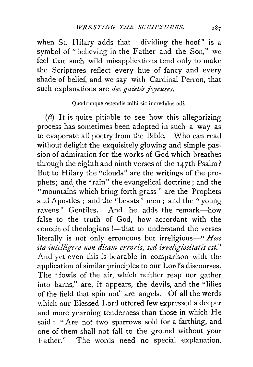when St. Hilary adds that "dividing the hoof" is a symbol of "believing in the Father and the Son," we feel that such wild misapplications tend only to make the Scriptures reflect every hue of fancy and every shade of belief, and we say with Cardinal Perron, that such explanations are *des gaietés joyeuses*.

## Quodcunque ostendis mihi sic incredulus odi.

 $(\beta)$  It is quite pitiable to see how this allegorizing process has sometimes been adopted in such a way as to evaporate all poetry from the Bible. Who can read without delight the exquisitely glowing and simple passion of admiration for the works of God which breathes through the eighth and ninth verses of the 147th Psalm? But to Hilary the "clouds" are the writings of the prophets; and the "rain" the evangelical doctrine ; and the "mountains which bring forth grass" are the Prophets and Apostles ; and the "beasts" men; and the "young ravens" Gentiles. And he adds the remark-how false to the truth of God, how accordant with the conceit of theologians !- that to understand the verses literally is not only erroneous but irreligious-" *Hac ita intelligere non dicam erroris, sed irreligiositatis est.*" And yet even this is bearable in comparison with the application of similar principles to our Lord's discourses. The "fowls of the air, which neither reap nor gather into barns," are, it appears, the devils, and the "lilies of the field that spin not" are angels. Of all the words which our Blessed Lord uttered few expressed a deeper and more yearning tenderness than those in which He said : " Are not two sparrows sold for a farthing, and one of them shall not fall to the ground without your Father." The words need no special explanation.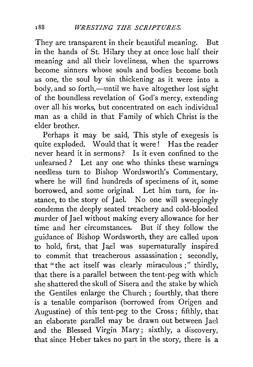They are transparent in their beautiful meaning. But in the hands of St. Hilary they at once lose half their meaning and all their loveliness, when the sparrows become sinners whose souls and bodies become both as one, the soul by sin thickening as it were into a body, and so forth,—until we have altogether lost sight of the boundless revelation of God's mercy, extending over all his works, but concentrated on each individual man as a child in that Family of which Christ is the elder brother.

Perhaps it may be said, This style of exegesis is quite exploded. Would that it were! Has the reader never heard it in sermons? Is it even confined to the unlearned ? Let any one who thinks these warnings needless turn to Bishop Wordsworth's Commentary, where he will find hundreds of specimens of it, some borrowed, and some original. Let him turn, for instance, to the story of Jael. No one will sweepingly condemn the deeply seated treachery and cold-blooded murder of Jael without making every allowance for her time and her circumstances. But if they follow the guidance of Bishop Wordsworth, they are called upon to hold, first, that Jael was supernaturally inspired to commit that treacherous assassination; secondly, that "the act itself was clearly miraculous ; '' thirdly, that there is a parallel between the tent-peg with which she shattered the skull of Sisera and the stake by which the Gentiles enlarge the Church ; fourthly, that there is a tenable comparison (borrowed from Origen and Augustine) of this tent-peg to the Cross; fifthly, that an elaborate parallel may be drawn out between Jael and the Blessed Virgin Mary; sixthly, a discovery, that since Heber takes no part in the story, there is a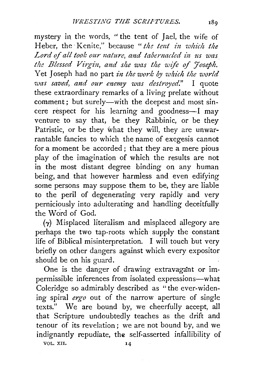mystery in the words, " the tent of Jael, the wife of Heber, the Kenite," because "the tent in which the Lord of all took our nature, and tabernacled in us was the Blessed Virgin, and she was the wife of Joseph. Yet Joseph had no part *in the work by which the world was saved, and our enemy was destroyed.*" I quote these extraordinary remarks of a living prelate without comment; but surely—with the deepest and most sincere respect for his learning and goodness-I may venture to say that, be they Rabbinic, or be they Patristic, or be they what they will, they are unwarrantable fancies to which the name of exegesis cannot for a moment be accorded ; that they are a mere pious play of the imagination of which the results are not in the most distant degree binding on any human being, and that however harmless and even edifying some persons may suppose them to be, they are liable to the peril of degenerating very rapidly and very perniciously into adulterating and handling deceitfully the Word of God.

 $(\gamma)$  Misplaced literalism and misplaced allegory are perhaps the two tap-roots which supply the constant life of Biblical misinterpretation. I will touch but very briefly on other dangers against which every expositor should be on his guard.

One is the danger of drawing extravagant or impermissible inferences from isolated expressions-what Coleridge so admirably described as "the ever-widening spiral *ergo* out of the narrow aperture of single texts." We are bound by, we cheerfully accept, all that Scripture undoubtedly teaches as the drift and tenour of its revelation ; we are not bound by, and we indignantly repudiate, the self-asserted infallibility of

VOL. XII. 14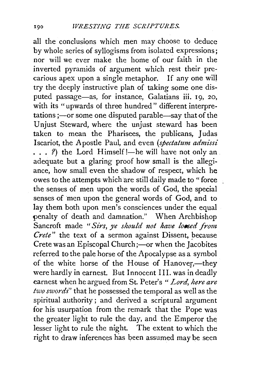all the conclusions which men may choose to deduce by whole series of syllogisms from isolated expressions; nor will we ever make the home of our faith in the inverted pyramids of argument which rest their precarious apex upon a single metaphor. If any one will try the deeply instructive plan of taking some one disputed passage-as, for instance, Galatians iii. 19, 20, with its "upwards of three hundred" different interpretations ;—or some one disputed parable—say that of the Unjust Steward, where the unjust steward has been taken to mean the Pharisees, the publicans, Judas Iscariot, the Apostle Paul, and even *(spectatum admissi*   $\ldots$  ?) the Lord Himself !—he will have not only an adequate but a glaring proof how small is the allegiance, how small even the shadow of respect, which he owes to the attempts which are still daily made to "force the senses of men upon the words of God, the special senses of men upon the general words of God, and to lay them both upon men's consciences under the equal penalty of death and damnation." When Archbishop Sancroft made "Sirs, ye should not have lossed from *Crete*" the text of a sermon against Dissent, because Crete was an Episcopal Church;—or when the Jacobites referred to the pale horse of the Apocalypse as a symbol of the white horse of the House of Hanover,-they were hardly in earnest. But Innocent III. was in deadly earnest when he argued from St. Peter's *"Lord, here are two swords"* that he possessed the temporal as well as the spiritual authority; and derived a scriptural argument for his usurpation from the remark that the Pope was the greater light to rule the day, and the Emperor the lesser light to rule the night. The extent to which the right to draw inferences has been assumed may be seen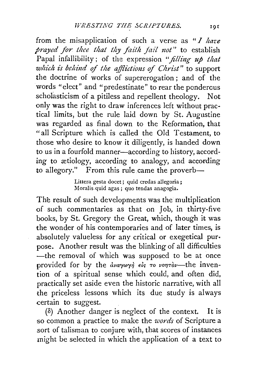from the misapplication of such a verse as *"I haz·e prayed for thee that thy faith jail not"* to establish Papal infallibility; of the expression *"filling up that which is behind of the afflictions of Christ*" to support the doctrine of works of supererogation ; and of the words "elect" and "predestinate" to rear the ponderous scholasticism of a pitiless and repellent theology. Not only was the right to draw inferences left without practical limits, but the rule laid down by St. Augustine was regarded as final down to the Reformation, that "all Scripture which is called the Old Testament, to those who desire to know it diligently, is handed down to us in a fourfold manner-according to history, according to ætiology, according to analogy, and according to allegory." From this rule came the proverb-

> Littera gesta docet; quid credas allegoria; Moralis.quid agas; quo tendas anagogia.

The result of such developments was the multiplication of such commentaries as that on Job, in thirty-five books, by St. Gregory the Great, which, though it was the wonder of his contemporaries and of later times, is absolutely valueless for any critical or exegetical purpose. Another result was the blinking of all difficulties -the removal of which was supposed to be at once provided for by the *avaywyn*  $\epsilon$ *is to vontor-the inven*tion of a spiritual sense which could, and often did, practically set aside even the historic narrative, with all the priceless lessons which its due study is always certain to suggest.

 $(\delta)$  Another danger is neglect of the context. It is so common a practice to make the *words* of Scripture a .sort of talisman to conjure with, that scores of instances might be selected in which the application of a text to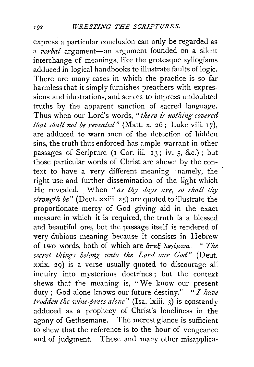express a particular conclusion can only be regarded as a *verbal* argument-an argument founded on a silent interchange of meanings, like the grotesque syllogisms adduced in logical handbooks to illustrate faults of logic. There are many cases in which the practice is so far harmless that it simply furnishes preachers with expressions and illustrations, and serves to impress undoubted truths by the apparent sanction of sacred language. Thus when our Lord's words, "there is nothing covered *that shall not be revealed"* (Matt. x. 26; Luke viii. I 7), are adduced to warn men of the detection of hidden sins, the truth thus enforced has ample warrant in other passages of Scripture {I Cor. iii. I3; iv. 5, &c.); but those particular words of Christ are shewn by the context to have a very different meaning-namely, the right use and further dissemination of the light which He revealed. When " *as thy days are, so shall thy strength be"* (Deut. xxiii. 25) are quoted to illustrate the proportionate mercy of God giving aid in the exact measure in which it is required, the truth is a blessed and beautiful one, but the passage itself is rendered of very dubious meaning because it consists in Hebrew of two words, both of which are *&7Tag Xeryop.eva.* " *The*  secret things belong unto the Lord our God" (Deut. xxix. 29) is a verse usually quoted to discourage all inquiry into mysterious doctrines ; but the context shews that the meaning is, " We know our present duty ; God alone knows our future destiny." *"I have trodden the wine-press alone*" (Isa. lxiii. 3) is constantly adduced as a prophecy of Christ's loneliness in the agony of Gethsemane. The merest glance is sufficient to shew that the reference is to the hour of vengeance and of judgment. These and many other misapplica·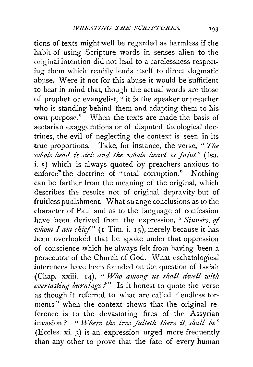tions of texts might well be regarded as harmless if the habit of using Scripture words in senses alien to the original intention did not lead to a carelessness respecting them which readily lends itself to direct dogmatic abuse. Were it not for this abuse it would be sufficient to bear in mind that, though the actual words are those of prophet or evangelist, " it is the speaker or preacher who is standing behind them and adapting them to his own purpose." When the texts are made the basis of sectarian exaggerations or of disputed theological doctrines, the evil of neglecting the context is seeri in its true proportions. Take, for instance, the verse, *"The whole head is sick and the whole heart is faint*" (Isa. i. 5) which is always quoted by preachers anxious to enforce<sup>the</sup> doctrine of "total corruption." Nothing can be farther from the meaning of the original, which describes the results not of original depravity but of fruitless punishment. What strange conclusions as to the character of Paul and as to the language of confession have been derived from the expression, " *Sinners, of whom I am chief"* (I Tim. i. 15), merely because it has been overlooked that he spoke under that oppression of conscience which he always felt from having been a persecutor of the Church of God. What eschatological inferences have been founded on the question of Isaiah (Chap. xxiii. 14), "Who among us shall dwell with cverlasting burnings?" Is it honest to quote the verse as though it referred to what are called " endless torments" when the context shews that the original reference is to the devastating fires of the Assyrian invasion ? " *vf/here the tree falleth there it shall be"*  {Eccles. xi. 3) is an expression urged more frequently than any other to prove that the fate of every human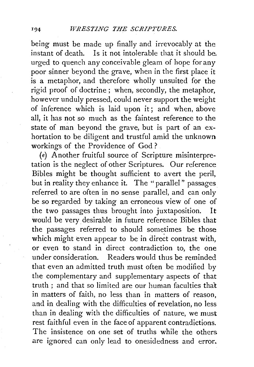being must be made up finally and irrevocably at the instant of death. Is it not intolerable that it should be. urged to quench any conceivable gleam of hope for any poor sinner beyond the grave, when in the first place it is a metaphor, and therefore wholly unsuited for the rigid proof of doctrine ; when, secondly, the metaphor, however unduly pressed, could never support the weight of inference which is laid upon it; and when, above all, it has not so much as the faintest reference to the state of man beyond the grave, but is part of an exhortation to be diligent and trustful amid the unknown workings of the Providence of God ?

(e) Another fruitful source of Scripture misinterpretation is the neglect of other Scriptures. Our reference Bibles might be thought sufficient to avert the peril, but in reality they enhance it. The "parallel" passages referred to are often in no sense parallel, and can only be so regarded by taking an erroneous view of one of the two passages thus brought into juxtaposition. It would be very desirable in future reference Bibles that the passages referred to should sometimes be those which might even appear to be in direct contrast with, or even to stand in direct contradiction to, the one under consideration. Readers would thus be reminded that even an admitted truth must often be modified by the complementary and supplementary aspects of that truth ; and that so limited are our human faculties that in matters of faith, no less than in matters of reason, and in dealing with the difficulties of revelation, no less than in dealing with the difficulties of nature, we must rest faithful even in the face of apparent contradictions. The insistence on one set of truths while the others are ignored can only lead to onesidedness and error.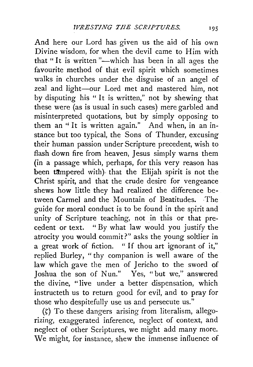And here our Lord has given us the aid of his own Divine wisdom, for when the devil came to Him with that "It is written "-- which has been in all ages the favourite method of that evil spirit which sometimes walks in churches under the disguise of an angel of zeal and light-our Lord met and mastered him, not by disputing his " It is written," not by shewing that these were (as is usual in such cases) mere garbled and misinterpreted quotations, but by simply opposing to them an "It is written again." And when, in an instance but too typical, the Sons of Thunder, excusing their human passion under Scripture precedent, wish to flash down fire from heaven, Jesus simply warns them (in a passage which, perhaps, for this very reason has been tampered with) that the Elijah spirit is not the Christ spirit, and that the crude desire for vengeance shews how little they had realized the difference between Carmel and the Mountain of Beatitudes. -The guide for moral conduct is to be found in the spirit and unity of Scripture teaching, not in this or that precedent or text. "By what law would you justify the atrocity you would commit?" asks the young soldier in a great work of fiction. " If thou art ignorant of it," replied Burley, "thy companion is well aware of the law which gave the men of Jericho to the sword of Joshua the son of Nun." Yes, "but we," answered the divine, "live under a better dispensation, which instructeth us to return good for evil, and to pray for those who despitefully use us and persecute us."

 $(\zeta)$  To these dangers arising from literalism, allegorizing, exaggerated inference, neglect of context, and neglect of other Scriptures, we might add many more. We might, for instance, shew the immense influence of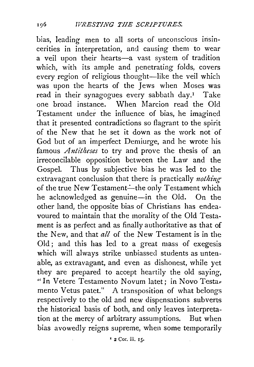bias, leading men to all sorts of unconscious insincerities in interpretation, and causing them to wear a veil upon their hearts-a vast system of tradition which, with its ample and penetrating folds, covers every region of religious thought-like the veil which was upon the hearts of the Jews when Moses was read in their synagogues every sabbath day.<sup>1</sup> Take<br>one broad instance. When Marcion read the Old When Marcion read the Old Testament under the influence of bias, he imagined that it presented contradictions so flagrant to the spirit of the New that he set it down as the work not of God but of an imperfect Demiurge, and he wrote his famous *Antitheses* to try and prove the thesis of an irreconcilable opposition between the Law and the Gospel. Thus by subjective bias he was led to the extravagant conclusion that there is practically *nothing* of the true New Testament-the only Testament which he acknowledged as genuine-in the Old. On the other hand, the opposite bias of Christians has endeavoured to maintain that the morality of the Old Testament is as perfect and as finally authoritative as that of the New, and that *all* of the New Testament is in the Old ; and this has led to a great mass of exegesis which will always strike unbiassed students as untenable, as extravagant, and even as dishonest, while yet they are prepared to accept heartily the old saying, "In Vetere Testamento Novum latet; in Novo Testar mento Vetus patet." A transposition of what belongs respectively to the old and new dispensations subverts the historical basis of both, and only leaves interpretation at the mercy of arbitrary assumptions. But when bias avowedly reigns supreme, when some temporarily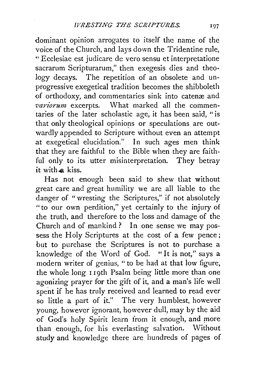dominant opinion arrogates to itself the name of the voice of the Church, and lays down the Tridentine rule, " Ecclesiae est judicare de vero sensu et interpretatione sacrarum Scripturarum," then exegesis dies and theology decays. The repetition of an obsolete and unprogressive exegetical tradition becomes the shibboleth of orthodoxy, and commentaries sink into catenæ and variorum excerpts. What marked all the commen-*What marked all the commen*taries of the later scholastic age, it has been said, "is that only theological opinions or speculations are outwardly appended to Scripture without even an attempt at exegetical elucidation." In such ages men think that they are faithful to the Bible when they are faithful only to its utter misinterpretation. They betray it with a kiss.

Has not enough been said to shew that without great care and great humility we are all liable to the danger of "wresting the Scriptures," if not absolutely "to our own perdition," yet certainly to the injury of the truth, and therefore to the loss and damage of the Church and of mankind? In one sense we may possess the Holy Scriptures at the cost of a few pence; but to purchase the Scriptures is not to purchase a knowledge of the Word of God. "It is not,'' says a modern writer of genius, " to be had at that low figure, the whole long 1 19th Psalm being little more than one agonizing prayer for the gift of it, and a man's life well spent if he has truly received and learned to read ever so little a part of it." The very humblest, however young, however ignorant, however dull, may by the aid of God's holy Spirit learn from it enough, and more than enough, for his everlasting salvation. Without study and knowledge there are hundreds of pages of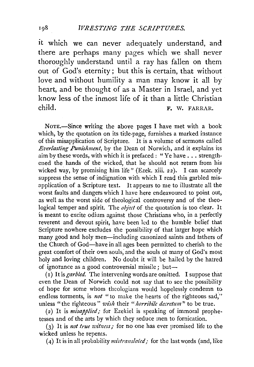it which we can never adequately understand, and there are perhaps many pages which we shall never thoroughly understand until a ray has fallen on them out of God's eternity ; but this is certain, that without love and without humility a man may know it all by heart, and be thought of as a Master in Israel, and yet know less of the inmost life of it than a little Christian child. F. W. FARRAR.

NoTE.-Since writing the above pages I have met with a book which, by the quotation on its title-page, furnishes a marked instance of this misapplication of Scripture. It is a volume of sermons called *Everlasting Punishment*, by the Dean of Norwich, and it explains its aim by these words, with which it is prefaced: "Ye have ... strengthened the hands of the wicked, that he should not return from his wicked way, by promising him life" (Ezek. xiii. 22). I can scarcely suppress the sense of indignation with which I read this garbled misapplication of a Scripture text. It appears to me to illustrate all the worst faults and dangers which I have here endeavoured to point out, as well as the worst side of theological controversy and of the theological temper and spirit. The *object* of the quotation is too clear. It is meant to excite odium against those Christians who, in a perfectly reverent and devout spirit, have been led to the humble belief that Scripture nowhere excludes the possibility of that larger hope which many good and holy men—including canonized saints and fathers of the Church of God-have in all ages been permitted to cherish to the great comfort of their own souls; and the souls ol many of God's most holy and loving children. No doubt it will be hailed by the hatred of ignorance as a good controversial missile; but-

( I) It is *garbled.* The intervening words are omitted. I suppose that even the Dean of Norwich could not say that to see the possibility of hope for some whom theologians would hopelessly condemn to endless torments, is *not* "to make the hearts of the righteous sad," unless "the righteous" wish their "horribile decretum" to be true.

( 2) It is *misapplied;* for Ezekiel is speaking of immoral prophetesses and of the arts by which they seduce men to fornication.

(3) It is *11ot true witness;* for no one has ever promised life to the wicked unless he repents.

(4) It is in all probability *mistranslated;* for the last words (and, like